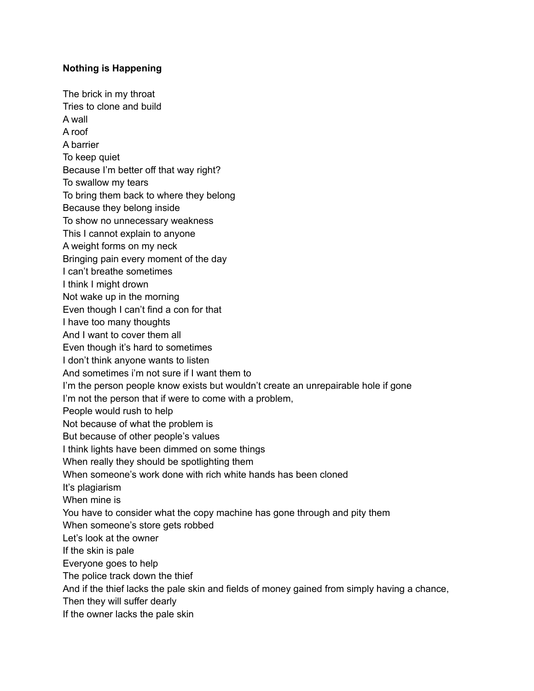## **Nothing is Happening**

The brick in my throat Tries to clone and build A wall A roof A barrier To keep quiet Because I'm better off that way right? To swallow my tears To bring them back to where they belong Because they belong inside To show no unnecessary weakness This I cannot explain to anyone A weight forms on my neck Bringing pain every moment of the day I can't breathe sometimes I think I might drown Not wake up in the morning Even though I can't find a con for that I have too many thoughts And I want to cover them all Even though it's hard to sometimes I don't think anyone wants to listen And sometimes i'm not sure if I want them to I'm the person people know exists but wouldn't create an unrepairable hole if gone I'm not the person that if were to come with a problem, People would rush to help Not because of what the problem is But because of other people's values I think lights have been dimmed on some things When really they should be spotlighting them When someone's work done with rich white hands has been cloned It's plagiarism When mine is You have to consider what the copy machine has gone through and pity them When someone's store gets robbed Let's look at the owner If the skin is pale Everyone goes to help The police track down the thief And if the thief lacks the pale skin and fields of money gained from simply having a chance, Then they will suffer dearly If the owner lacks the pale skin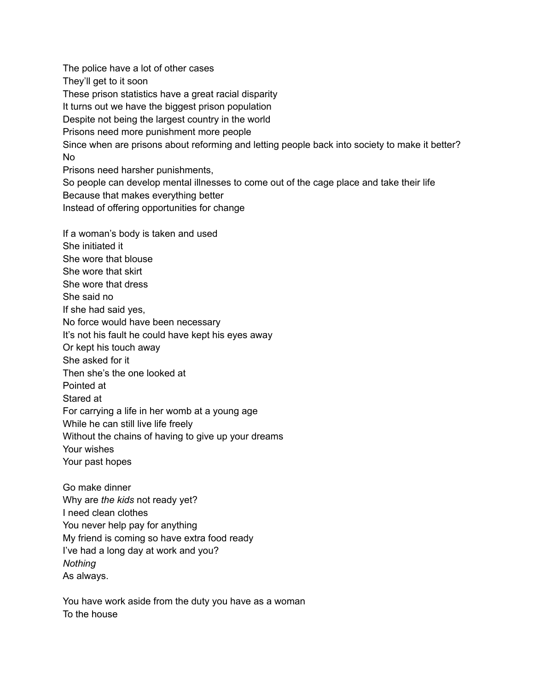The police have a lot of other cases They'll get to it soon These prison statistics have a great racial disparity It turns out we have the biggest prison population Despite not being the largest country in the world Prisons need more punishment more people Since when are prisons about reforming and letting people back into society to make it better? No Prisons need harsher punishments, So people can develop mental illnesses to come out of the cage place and take their life Because that makes everything better Instead of offering opportunities for change If a woman's body is taken and used She initiated it She wore that blouse She wore that skirt She wore that dress She said no If she had said yes, No force would have been necessary It's not his fault he could have kept his eyes away Or kept his touch away She asked for it Then she's the one looked at Pointed at Stared at For carrying a life in her womb at a young age While he can still live life freely Without the chains of having to give up your dreams Your wishes Your past hopes Go make dinner Why are *the kids* not ready yet? I need clean clothes You never help pay for anything My friend is coming so have extra food ready I've had a long day at work and you? *Nothing* As always.

You have work aside from the duty you have as a woman To the house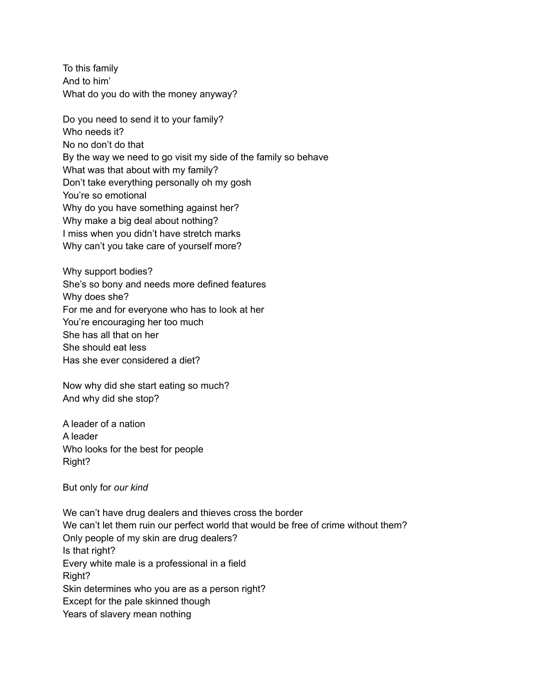To this family And to him' What do you do with the money anyway?

Do you need to send it to your family? Who needs it? No no don't do that By the way we need to go visit my side of the family so behave What was that about with my family? Don't take everything personally oh my gosh You're so emotional Why do you have something against her? Why make a big deal about nothing? I miss when you didn't have stretch marks Why can't you take care of yourself more?

Why support bodies? She's so bony and needs more defined features Why does she? For me and for everyone who has to look at her You're encouraging her too much She has all that on her She should eat less Has she ever considered a diet?

Now why did she start eating so much? And why did she stop?

A leader of a nation A leader Who looks for the best for people Right?

But only for *our kind*

We can't have drug dealers and thieves cross the border We can't let them ruin our perfect world that would be free of crime without them? Only people of my skin are drug dealers? Is that right? Every white male is a professional in a field Right? Skin determines who you are as a person right? Except for the pale skinned though Years of slavery mean nothing